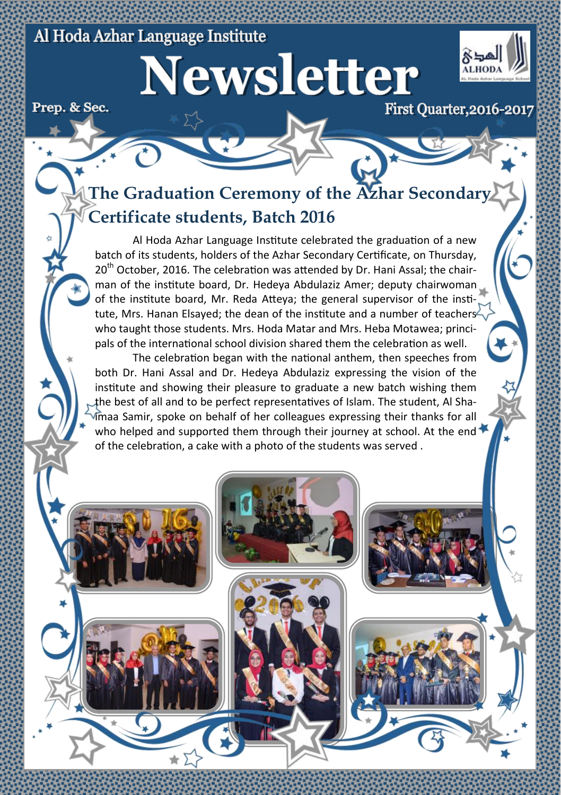#### Al Hoda Azhar Language Institute

Newsletter



Prep. & Sec.

**First Ouarter, 2016-2017** 

# **The Graduation Ceremony of the Azhar Secondary Certificate students, Batch 2016**

Al Hoda Azhar Language Institute celebrated the graduation of a new batch of its students, holders of the Azhar Secondary Certificate, on Thursday,  $20<sup>th</sup>$  October, 2016. The celebration was attended by Dr. Hani Assal; the chairman of the institute board, Dr. Hedeya Abdulaziz Amer; deputy chairwoman of the institute board, Mr. Reda Atteya; the general supervisor of the institute. Mrs. Hanan Elsaved: the dean of the institute and a number of teachers  $\sim$ who taught those students. Mrs. Hoda Matar and Mrs. Heba Motawea; principals of the international school division shared them the celebration as well.

The celebration began with the national anthem, then speeches from both Dr. Hani Assal and Dr. Hedeya Abdulaziz expressing the vision of the institute and showing their pleasure to graduate a new batch wishing them the best of all and to be perfect representatives of Islam. The student, Al Shaimaa Samir, spoke on behalf of her colleagues expressing their thanks for all who helped and supported them through their journey at school. At the end  $\blacktriangleright$ of the celebration, a cake with a photo of the students was served .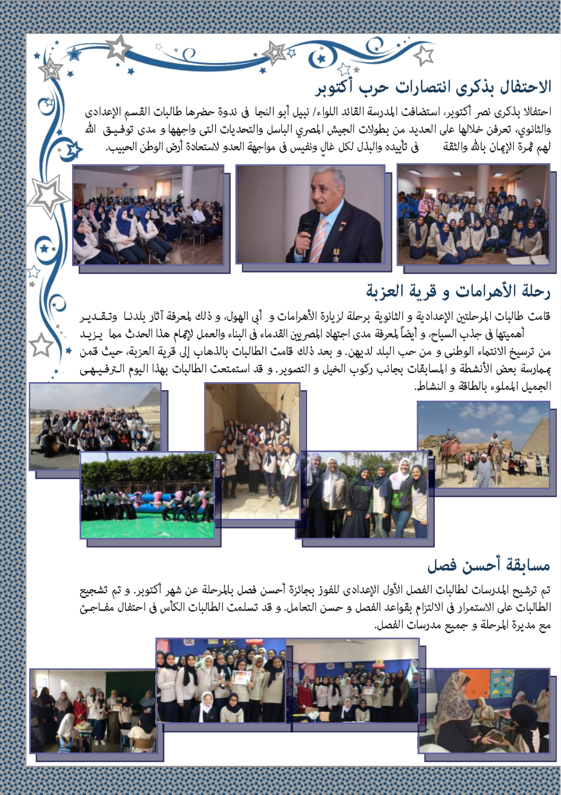# الاحتفال بذكري انتصارات حرب آكتوبر

احتفالا بذكري نصر أكتوبر، استضافت المدرسة القائد اللواء/ نبيل أبو النجا في ندوة حضرها طالبات القسم الإعدادي والثانوي، تعرفن خلالها على العديد من بطولات الجيش المصري الباسل والتحديات التي واجهها و مدى توفـيــق الله لهم ڤـرة الإِعان بالله والثقة في تأييده والبذل لكل غال ونفيس في مواجهة العدو لاستعادة أرض الوطن الحبيب.

地中国



## رحلة الأهرامات و قرية العزبة

قامت طالبات المرحلتين الإعدادية و الثانوية برحلة لزيارة الأهرامات و أبي الهول، و ذلك لمعرفة آثار بلدنـا وتـقــديـر أهميتها في جذب السياح، و أيضاً لمعرفة مدى اجتهاد المصريين القدماء في البناء والعمل لإتمام هذا الحدث مما ايـزيـد من ترسيخ الانتماء الوطني و من حب البلد لديهن. و بعد ذلك قامت الطالبات بالذهاب إلى قرية العزبة، حيث قمن <sub>ع</sub>مارسة بعض الأنشطة و المسابقات بجانب ركوب الخيل و التصوير. و قد استمتعت الطالبات بهذا اليوم الـترفـيـهـي الجميل المملوء بالطاقة و النشاط.



### مسابقة آحسن فصل

تم ترشيح المدرسات لطالبات الفصل الأول الإعدادي للفوز بجائزة أحسن فصل بالمرحلة عن شهر أكتوبر. و تم تشجيع الطالبات على الاستمرار في الالتزام بقواعد الفصل و حسن التعامل. و قد تسلمت الطالبات الكأس في احتفال مفـاجـيَّ مع مديرة المرحلة و جميع مدرسات الفصل.

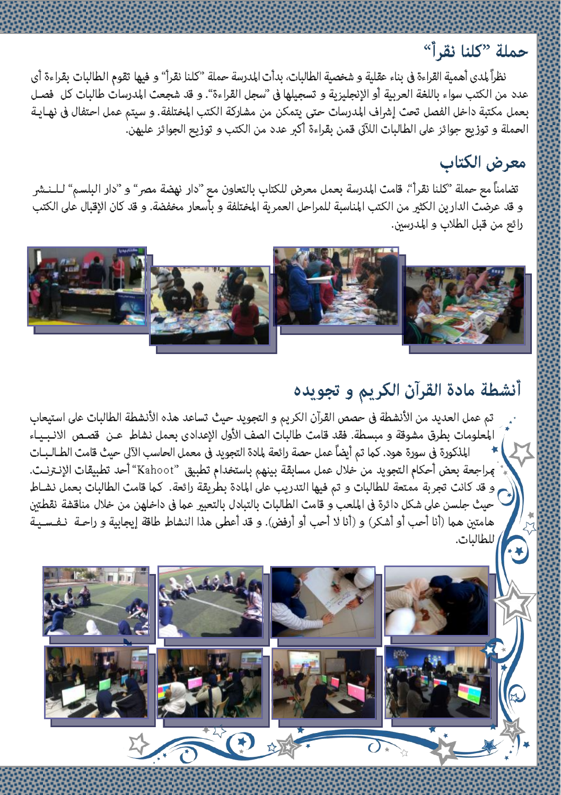### حملة "كلنا نقرآ"

نظراً لمدى أهمية القراءة في بناء عقلية و شخصية الطالبات، بدأت المدرسة حملة "كلنا نقرأ" و فيها تقوم الطالبات بقراءة أي عدد من الكتب سواء باللغة العربية أو الإنجليزية و تسجيلها فى "سجل القراءة". و قد شجعت المدرسات طالبات كل فصـل بعمل مكتبة داخل الفصل تحث إشراف المدرسات حتى يتمكن من مشاركة الكتب المختلفة. و سيتم عمل احتفال في نهـايـة العملة و توزيع جوائز على الطالبات اللآتى قمن بقراءة أكبر عدد من الكتب و توزيع الجوائز عليهن.

### معرض الكتاب

تضامناً مع حملة "كلنا نقرأ"، قامت المدرسة بعمل معرض للكتاب بالتعاون مع "دار نهضة مصر" و "دار البلسم" لــلـنـشر و قد عرضت الدارين الكثير من الكتب المناسبة للمراحل العمرية المختلفة و بأسعار مخفضة. و قد كان الإقبال على الكتب رائع من قبل الطلاب و المدرسين.



#### أنشطة مادة القرآن الكريم و تجويده

تم عمل العديد من الأنشطة في حصص القرآن الكريم و التجويد حيث تساعد هذه الأنشطة الطالبات على استيعاب المعلومات بطرق مشوقة و مبسطة. فقد قامت طالبات الصف الأول الإعدادي بعمل نشاط ٍ عـن قصـص الانـبـيـاء المذكورة في سورة هود. كما تم أيضاً عمل حصة رائعة لمادة التجويد في معمل الحاسب الآلي حيث قامت الطــالـبــات مِراجعة بعض أحكام التجويد من خلال عمل مسابقة بينهم باستخدام تطبيق "Kahoot" أحد تطبيقات الإنـترنـت. و قد كانت تجربة ممتعة للطالبات و تم فيها التدريب على المادة بطريقة رائعة. كما قامت الطالبات بعمل نشـاط حيث جلسن على شكل دائرة في الملعب و قامت الطالبات بالتبادل بالتعبير عما في داخلهن من خلال مناقشة نقطتين هامتين هما (أنا أحب أو أشكر) و (أنا لا أحب أو أرفض). و قد أعطى هذا النشاط طاقة إيجابية و راحـة نـفـسـيـة للطالبات.